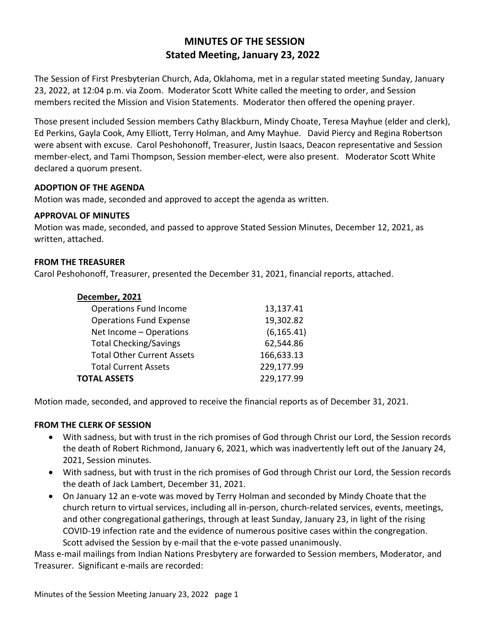# **MINUTES OF THE SESSION Stated Meeting, January 23, 2022**

The Session of First Presbyterian Church, Ada, Oklahoma, met in a regular stated meeting Sunday, January 23, 2022, at 12:04 p.m. via Zoom. Moderator Scott White called the meeting to order, and Session members recited the Mission and Vision Statements. Moderator then offered the opening prayer.

Those present included Session members Cathy Blackburn, Mindy Choate, Teresa Mayhue (elder and clerk), Ed Perkins, Gayla Cook, Amy Elliott, Terry Holman, and Amy Mayhue. David Piercy and Regina Robertson were absent with excuse. Carol Peshohonoff, Treasurer, Justin Isaacs, Deacon representative and Session member-elect, and Tami Thompson, Session member-elect, were also present. Moderator Scott White declared a quorum present.

## **ADOPTION OF THE AGENDA**

Motion was made, seconded and approved to accept the agenda as written.

#### **APPROVAL OF MINUTES**

Motion was made, seconded, and passed to approve Stated Session Minutes, December 12, 2021, as written, attached.

### **FROM THE TREASURER**

Carol Peshohonoff, Treasurer, presented the December 31, 2021, financial reports, attached.

| December, 2021 |  |
|----------------|--|
|----------------|--|

| <b>Operations Fund Income</b>     | 13,137.41   |
|-----------------------------------|-------------|
| <b>Operations Fund Expense</b>    | 19,302.82   |
| Net Income - Operations           | (6, 165.41) |
| <b>Total Checking/Savings</b>     | 62,544.86   |
| <b>Total Other Current Assets</b> | 166,633.13  |
| <b>Total Current Assets</b>       | 229,177.99  |
| <b>TOTAL ASSETS</b>               | 229,177.99  |
|                                   |             |

Motion made, seconded, and approved to receive the financial reports as of December 31, 2021.

#### **FROM THE CLERK OF SESSION**

- With sadness, but with trust in the rich promises of God through Christ our Lord, the Session records the death of Robert Richmond, January 6, 2021, which was inadvertently left out of the January 24, 2021, Session minutes.
- With sadness, but with trust in the rich promises of God through Christ our Lord, the Session records the death of Jack Lambert, December 31, 2021.
- On January 12 an e-vote was moved by Terry Holman and seconded by Mindy Choate that the church return to virtual services, including all in-person, church-related services, events, meetings, and other congregational gatherings, through at least Sunday, January 23, in light of the rising COVID-19 infection rate and the evidence of numerous positive cases within the congregation. Scott advised the Session by e-mail that the e-vote passed unanimously.

Mass e-mail mailings from Indian Nations Presbytery are forwarded to Session members, Moderator, and Treasurer. Significant e-mails are recorded: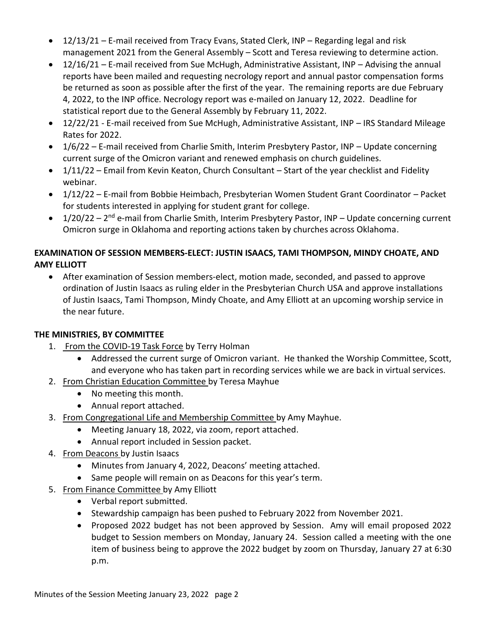- 12/13/21 E-mail received from Tracy Evans, Stated Clerk, INP Regarding legal and risk management 2021 from the General Assembly – Scott and Teresa reviewing to determine action.
- 12/16/21 E-mail received from Sue McHugh, Administrative Assistant, INP Advising the annual reports have been mailed and requesting necrology report and annual pastor compensation forms be returned as soon as possible after the first of the year. The remaining reports are due February 4, 2022, to the INP office. Necrology report was e-mailed on January 12, 2022. Deadline for statistical report due to the General Assembly by February 11, 2022.
- 12/22/21 E-mail received from Sue McHugh, Administrative Assistant, INP IRS Standard Mileage Rates for 2022.
- 1/6/22 E-mail received from Charlie Smith, Interim Presbytery Pastor, INP Update concerning current surge of the Omicron variant and renewed emphasis on church guidelines.
- $\bullet$  1/11/22 Email from Kevin Keaton, Church Consultant Start of the year checklist and Fidelity webinar.
- 1/12/22 E-mail from Bobbie Heimbach, Presbyterian Women Student Grant Coordinator Packet for students interested in applying for student grant for college.
- 1/20/22 2<sup>nd</sup> e-mail from Charlie Smith, Interim Presbytery Pastor, INP Update concerning current Omicron surge in Oklahoma and reporting actions taken by churches across Oklahoma.

# **EXAMINATION OF SESSION MEMBERS-ELECT: JUSTIN ISAACS, TAMI THOMPSON, MINDY CHOATE, AND AMY ELLIOTT**

 After examination of Session members-elect, motion made, seconded, and passed to approve ordination of Justin Isaacs as ruling elder in the Presbyterian Church USA and approve installations of Justin Isaacs, Tami Thompson, Mindy Choate, and Amy Elliott at an upcoming worship service in the near future.

## **THE MINISTRIES, BY COMMITTEE**

- 1. From the COVID-19 Task Force by Terry Holman
	- Addressed the current surge of Omicron variant. He thanked the Worship Committee, Scott, and everyone who has taken part in recording services while we are back in virtual services.
- 2. From Christian Education Committee by Teresa Mayhue
	- No meeting this month.
	- Annual report attached.
- 3. From Congregational Life and Membership Committee by Amy Mayhue.
	- Meeting January 18, 2022, via zoom, report attached.
	- Annual report included in Session packet.
- 4. From Deacons by Justin Isaacs
	- Minutes from January 4, 2022, Deacons' meeting attached.
	- Same people will remain on as Deacons for this year's term.
- 5. From Finance Committee by Amy Elliott
	- Verbal report submitted.
	- Stewardship campaign has been pushed to February 2022 from November 2021.
	- Proposed 2022 budget has not been approved by Session. Amy will email proposed 2022 budget to Session members on Monday, January 24. Session called a meeting with the one item of business being to approve the 2022 budget by zoom on Thursday, January 27 at 6:30 p.m.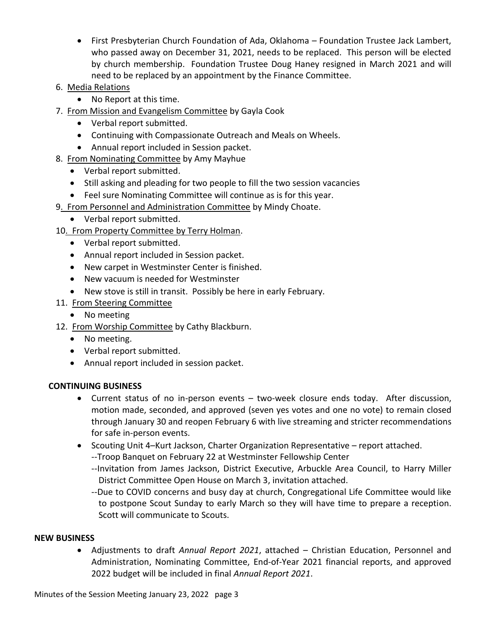- First Presbyterian Church Foundation of Ada, Oklahoma Foundation Trustee Jack Lambert, who passed away on December 31, 2021, needs to be replaced. This person will be elected by church membership. Foundation Trustee Doug Haney resigned in March 2021 and will need to be replaced by an appointment by the Finance Committee.
- 6. Media Relations
	- No Report at this time.
- 7. From Mission and Evangelism Committee by Gayla Cook
	- Verbal report submitted.
	- Continuing with Compassionate Outreach and Meals on Wheels.
	- Annual report included in Session packet.
- 8. From Nominating Committee by Amy Mayhue
	- Verbal report submitted.
	- Still asking and pleading for two people to fill the two session vacancies
	- Feel sure Nominating Committee will continue as is for this year.
- 9. From Personnel and Administration Committee by Mindy Choate.
	- Verbal report submitted.
- 10. From Property Committee by Terry Holman.
	- Verbal report submitted.
	- Annual report included in Session packet.
	- New carpet in Westminster Center is finished.
	- New vacuum is needed for Westminster
	- New stove is still in transit. Possibly be here in early February.
- 11. From Steering Committee
	- No meeting
- 12. From Worship Committee by Cathy Blackburn.
	- No meeting.
	- Verbal report submitted.
	- Annual report included in session packet.

#### **CONTINUING BUSINESS**

- Current status of no in-person events two-week closure ends today. After discussion, motion made, seconded, and approved (seven yes votes and one no vote) to remain closed through January 30 and reopen February 6 with live streaming and stricter recommendations for safe in-person events.
- Scouting Unit 4–Kurt Jackson, Charter Organization Representative report attached.
	- --Troop Banquet on February 22 at Westminster Fellowship Center
	- --Invitation from James Jackson, District Executive, Arbuckle Area Council, to Harry Miller District Committee Open House on March 3, invitation attached.
	- --Due to COVID concerns and busy day at church, Congregational Life Committee would like to postpone Scout Sunday to early March so they will have time to prepare a reception. Scott will communicate to Scouts.

#### **NEW BUSINESS**

 Adjustments to draft *Annual Report 2021*, attached – Christian Education, Personnel and Administration, Nominating Committee, End-of-Year 2021 financial reports, and approved 2022 budget will be included in final *Annual Report 2021*.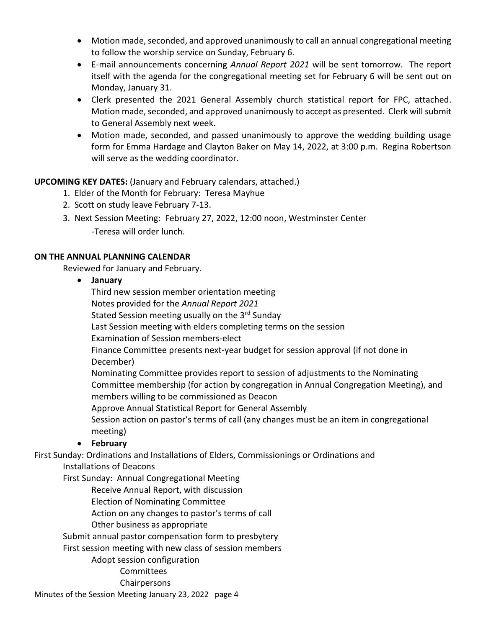- Motion made, seconded, and approved unanimously to call an annual congregational meeting to follow the worship service on Sunday, February 6.
- E-mail announcements concerning *Annual Report 2021* will be sent tomorrow. The report itself with the agenda for the congregational meeting set for February 6 will be sent out on Monday, January 31.
- Clerk presented the 2021 General Assembly church statistical report for FPC, attached. Motion made, seconded, and approved unanimously to accept as presented. Clerk will submit to General Assembly next week.
- Motion made, seconded, and passed unanimously to approve the wedding building usage form for Emma Hardage and Clayton Baker on May 14, 2022, at 3:00 p.m. Regina Robertson will serve as the wedding coordinator.

## **UPCOMING KEY DATES:** (January and February calendars, attached.)

- 1. Elder of the Month for February: Teresa Mayhue
- 2. Scott on study leave February 7-13.
- 3. Next Session Meeting: February 27, 2022, 12:00 noon, Westminster Center -Teresa will order lunch.

### **ON THE ANNUAL PLANNING CALENDAR**

Reviewed for January and February.

**January**

Third new session member orientation meeting

Notes provided for the *Annual Report 2021*

Stated Session meeting usually on the 3<sup>rd</sup> Sunday

Last Session meeting with elders completing terms on the session

Examination of Session members-elect

Finance Committee presents next-year budget for session approval (if not done in December)

Nominating Committee provides report to session of adjustments to the Nominating Committee membership (for action by congregation in Annual Congregation Meeting), and members willing to be commissioned as Deacon

Approve Annual Statistical Report for General Assembly

Session action on pastor's terms of call (any changes must be an item in congregational meeting)

## **February**

First Sunday: Ordinations and Installations of Elders, Commissionings or Ordinations and

Installations of Deacons

First Sunday: Annual Congregational Meeting

Receive Annual Report, with discussion

Election of Nominating Committee

Action on any changes to pastor's terms of call

Other business as appropriate

Submit annual pastor compensation form to presbytery

First session meeting with new class of session members

Adopt session configuration

## **Committees**

Chairpersons

Minutes of the Session Meeting January 23, 2022 page 4